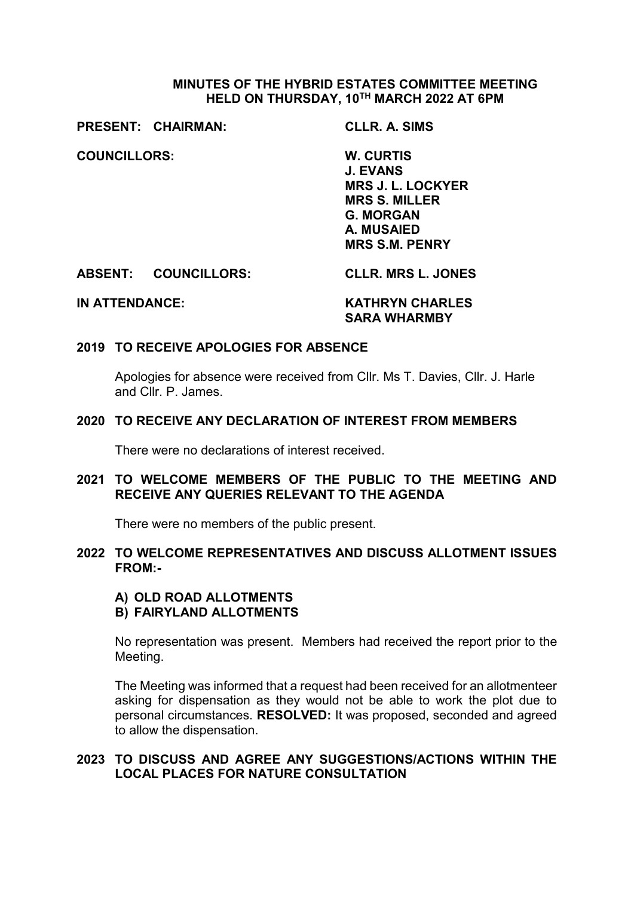## **MINUTES OF THE HYBRID ESTATES COMMITTEE MEETING HELD ON THURSDAY, 10TH MARCH 2022 AT 6PM**

**PRESENT: CHAIRMAN: CLLR. A. SIMS**

**COUNCILLORS: W. CURTIS**

**J. EVANS MRS J. L. LOCKYER MRS S. MILLER G. MORGAN A. MUSAIED MRS S.M. PENRY**

**ABSENT: COUNCILLORS: CLLR. MRS L. JONES**

**IN ATTENDANCE: KATHRYN CHARLES SARA WHARMBY**

### **2019 TO RECEIVE APOLOGIES FOR ABSENCE**

Apologies for absence were received from Cllr. Ms T. Davies, Cllr. J. Harle and Cllr. P. James.

### **2020 TO RECEIVE ANY DECLARATION OF INTEREST FROM MEMBERS**

There were no declarations of interest received.

## **2021 TO WELCOME MEMBERS OF THE PUBLIC TO THE MEETING AND RECEIVE ANY QUERIES RELEVANT TO THE AGENDA**

There were no members of the public present.

### **2022 TO WELCOME REPRESENTATIVES AND DISCUSS ALLOTMENT ISSUES FROM:-**

#### **A) OLD ROAD ALLOTMENTS B) FAIRYLAND ALLOTMENTS**

No representation was present. Members had received the report prior to the Meeting.

The Meeting was informed that a request had been received for an allotmenteer asking for dispensation as they would not be able to work the plot due to personal circumstances. **RESOLVED:** It was proposed, seconded and agreed to allow the dispensation.

## **2023 TO DISCUSS AND AGREE ANY SUGGESTIONS/ACTIONS WITHIN THE LOCAL PLACES FOR NATURE CONSULTATION**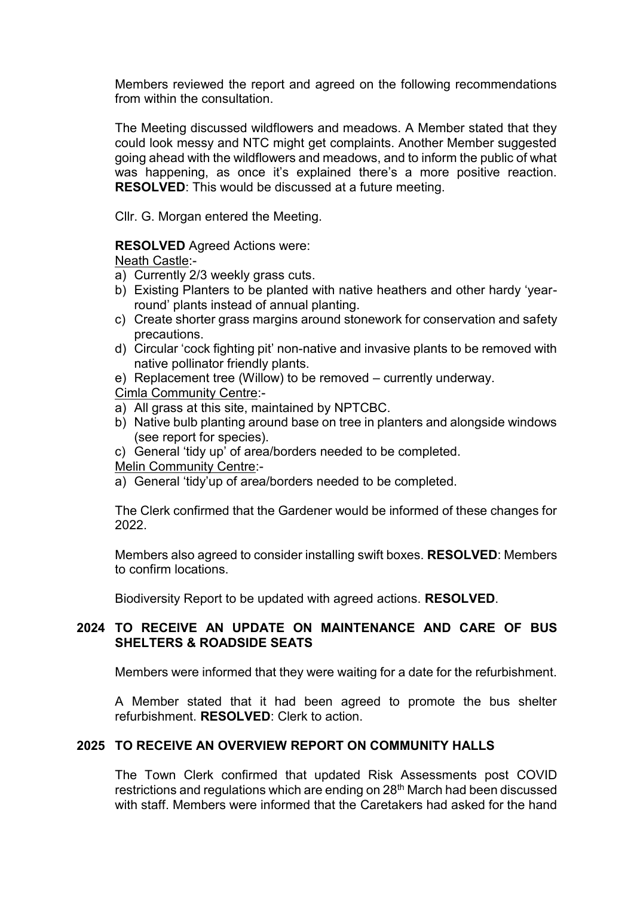Members reviewed the report and agreed on the following recommendations from within the consultation.

The Meeting discussed wildflowers and meadows. A Member stated that they could look messy and NTC might get complaints. Another Member suggested going ahead with the wildflowers and meadows, and to inform the public of what was happening, as once it's explained there's a more positive reaction. **RESOLVED**: This would be discussed at a future meeting.

Cllr. G. Morgan entered the Meeting.

#### **RESOLVED** Agreed Actions were:

Neath Castle:-

- a) Currently 2/3 weekly grass cuts.
- b) Existing Planters to be planted with native heathers and other hardy 'yearround' plants instead of annual planting.
- c) Create shorter grass margins around stonework for conservation and safety precautions.
- d) Circular 'cock fighting pit' non-native and invasive plants to be removed with native pollinator friendly plants.
- e) Replacement tree (Willow) to be removed currently underway.

### Cimla Community Centre:-

- a) All grass at this site, maintained by NPTCBC.
- b) Native bulb planting around base on tree in planters and alongside windows (see report for species).
- c) General 'tidy up' of area/borders needed to be completed.

#### Melin Community Centre:-

a) General 'tidy'up of area/borders needed to be completed.

The Clerk confirmed that the Gardener would be informed of these changes for 2022.

Members also agreed to consider installing swift boxes. **RESOLVED**: Members to confirm locations.

Biodiversity Report to be updated with agreed actions. **RESOLVED**.

## **2024 TO RECEIVE AN UPDATE ON MAINTENANCE AND CARE OF BUS SHELTERS & ROADSIDE SEATS**

Members were informed that they were waiting for a date for the refurbishment.

A Member stated that it had been agreed to promote the bus shelter refurbishment. **RESOLVED**: Clerk to action.

## **2025 TO RECEIVE AN OVERVIEW REPORT ON COMMUNITY HALLS**

The Town Clerk confirmed that updated Risk Assessments post COVID restrictions and regulations which are ending on 28th March had been discussed with staff. Members were informed that the Caretakers had asked for the hand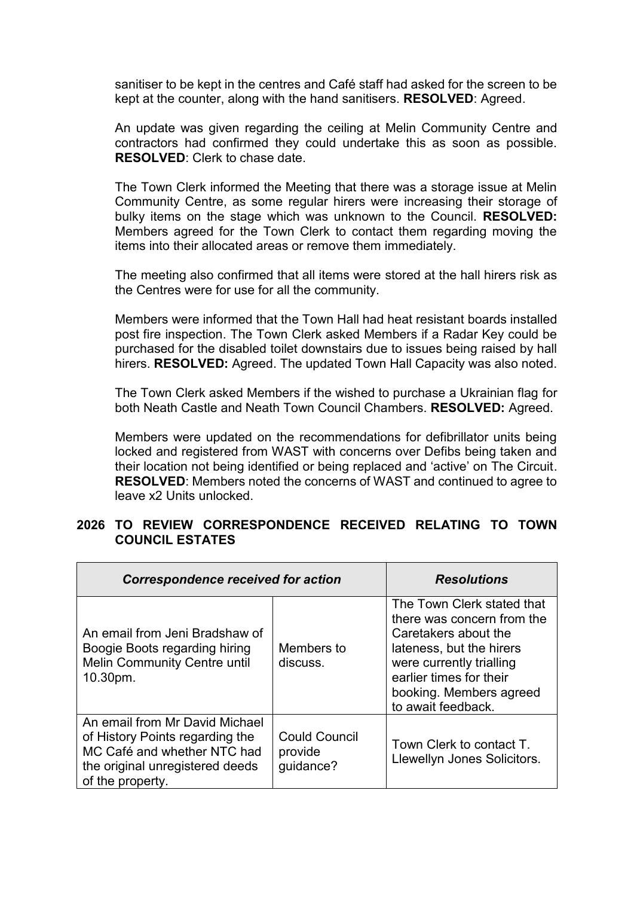sanitiser to be kept in the centres and Café staff had asked for the screen to be kept at the counter, along with the hand sanitisers. **RESOLVED**: Agreed.

An update was given regarding the ceiling at Melin Community Centre and contractors had confirmed they could undertake this as soon as possible. **RESOLVED**: Clerk to chase date.

The Town Clerk informed the Meeting that there was a storage issue at Melin Community Centre, as some regular hirers were increasing their storage of bulky items on the stage which was unknown to the Council. **RESOLVED:** Members agreed for the Town Clerk to contact them regarding moving the items into their allocated areas or remove them immediately.

The meeting also confirmed that all items were stored at the hall hirers risk as the Centres were for use for all the community.

Members were informed that the Town Hall had heat resistant boards installed post fire inspection. The Town Clerk asked Members if a Radar Key could be purchased for the disabled toilet downstairs due to issues being raised by hall hirers. **RESOLVED:** Agreed. The updated Town Hall Capacity was also noted.

The Town Clerk asked Members if the wished to purchase a Ukrainian flag for both Neath Castle and Neath Town Council Chambers. **RESOLVED:** Agreed.

Members were updated on the recommendations for defibrillator units being locked and registered from WAST with concerns over Defibs being taken and their location not being identified or being replaced and 'active' on The Circuit. **RESOLVED**: Members noted the concerns of WAST and continued to agree to leave x2 Units unlocked.

## **2026 TO REVIEW CORRESPONDENCE RECEIVED RELATING TO TOWN COUNCIL ESTATES**

| <b>Correspondence received for action</b>                                                                                                               |                                              | <b>Resolutions</b>                                                                                                                                                                                                   |  |
|---------------------------------------------------------------------------------------------------------------------------------------------------------|----------------------------------------------|----------------------------------------------------------------------------------------------------------------------------------------------------------------------------------------------------------------------|--|
| An email from Jeni Bradshaw of<br>Boogie Boots regarding hiring<br>Melin Community Centre until<br>10.30pm.                                             | Members to<br>discuss.                       | The Town Clerk stated that<br>there was concern from the<br>Caretakers about the<br>lateness, but the hirers<br>were currently trialling<br>earlier times for their<br>booking. Members agreed<br>to await feedback. |  |
| An email from Mr David Michael<br>of History Points regarding the<br>MC Café and whether NTC had<br>the original unregistered deeds<br>of the property. | <b>Could Council</b><br>provide<br>guidance? | Town Clerk to contact T.<br>Llewellyn Jones Solicitors.                                                                                                                                                              |  |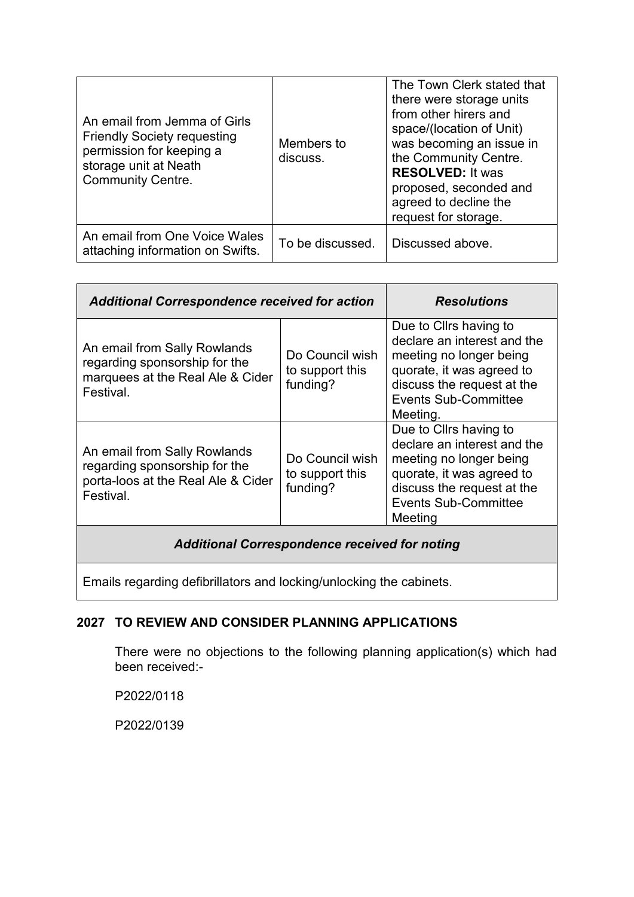| An email from Jemma of Girls<br><b>Friendly Society requesting</b><br>permission for keeping a<br>storage unit at Neath<br><b>Community Centre.</b> | Members to<br>discuss. | The Town Clerk stated that<br>there were storage units<br>from other hirers and<br>space/(location of Unit)<br>was becoming an issue in<br>the Community Centre.<br><b>RESOLVED: It was</b><br>proposed, seconded and<br>agreed to decline the<br>request for storage. |
|-----------------------------------------------------------------------------------------------------------------------------------------------------|------------------------|------------------------------------------------------------------------------------------------------------------------------------------------------------------------------------------------------------------------------------------------------------------------|
| An email from One Voice Wales<br>attaching information on Swifts.                                                                                   | To be discussed.       | Discussed above.                                                                                                                                                                                                                                                       |

| <b>Additional Correspondence received for action</b>                                                             |                                                | <b>Resolutions</b>                                                                                                                                                                     |  |  |  |  |
|------------------------------------------------------------------------------------------------------------------|------------------------------------------------|----------------------------------------------------------------------------------------------------------------------------------------------------------------------------------------|--|--|--|--|
| An email from Sally Rowlands<br>regarding sponsorship for the<br>marquees at the Real Ale & Cider<br>Festival.   | Do Council wish<br>to support this<br>funding? | Due to Cllrs having to<br>declare an interest and the<br>meeting no longer being<br>quorate, it was agreed to<br>discuss the request at the<br><b>Events Sub-Committee</b><br>Meeting. |  |  |  |  |
| An email from Sally Rowlands<br>regarding sponsorship for the<br>porta-loos at the Real Ale & Cider<br>Festival. | Do Council wish<br>to support this<br>funding? | Due to Cllrs having to<br>declare an interest and the<br>meeting no longer being<br>quorate, it was agreed to<br>discuss the request at the<br><b>Events Sub-Committee</b><br>Meeting  |  |  |  |  |
| <b>Additional Correspondence received for noting</b>                                                             |                                                |                                                                                                                                                                                        |  |  |  |  |

Emails regarding defibrillators and locking/unlocking the cabinets.

# **2027 TO REVIEW AND CONSIDER PLANNING APPLICATIONS**

There were no objections to the following planning application(s) which had been received:-

P2022/0118

P2022/0139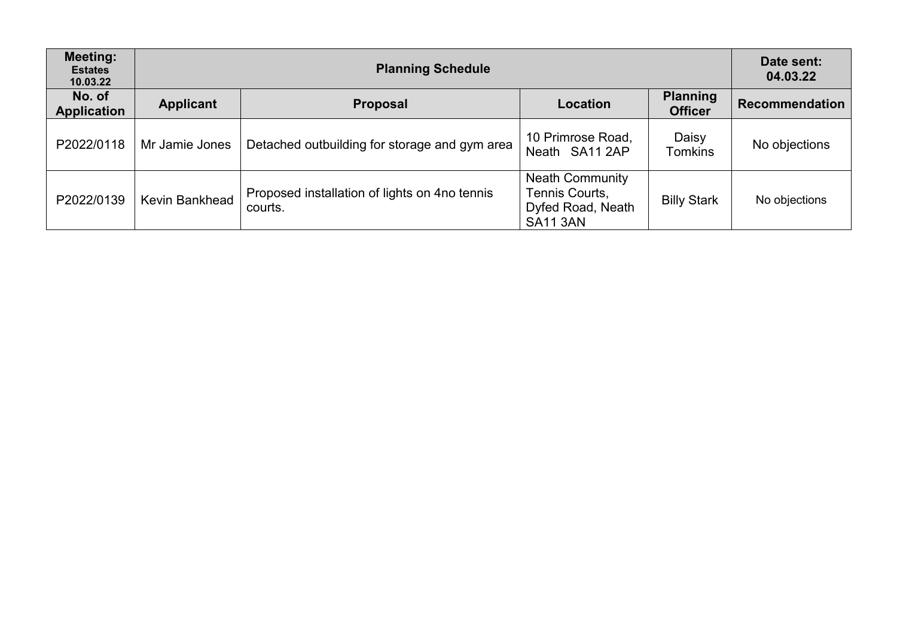| <b>Meeting:</b><br><b>Estates</b><br>10.03.22 | <b>Planning Schedule</b> |                                                          |                                                                                  |                                   | Date sent:<br>04.03.22 |
|-----------------------------------------------|--------------------------|----------------------------------------------------------|----------------------------------------------------------------------------------|-----------------------------------|------------------------|
| No. of<br><b>Application</b>                  | <b>Applicant</b>         | <b>Proposal</b>                                          | <b>Location</b>                                                                  | <b>Planning</b><br><b>Officer</b> | <b>Recommendation</b>  |
| P2022/0118                                    | Mr Jamie Jones           | Detached outbuilding for storage and gym area            | 10 Primrose Road,<br>Neath SA11 2AP                                              | Daisy<br>Tomkins                  | No objections          |
| P2022/0139                                    | Kevin Bankhead           | Proposed installation of lights on 4no tennis<br>courts. | <b>Neath Community</b><br>Tennis Courts,<br>Dyfed Road, Neath<br><b>SA11 3AN</b> | <b>Billy Stark</b>                | No objections          |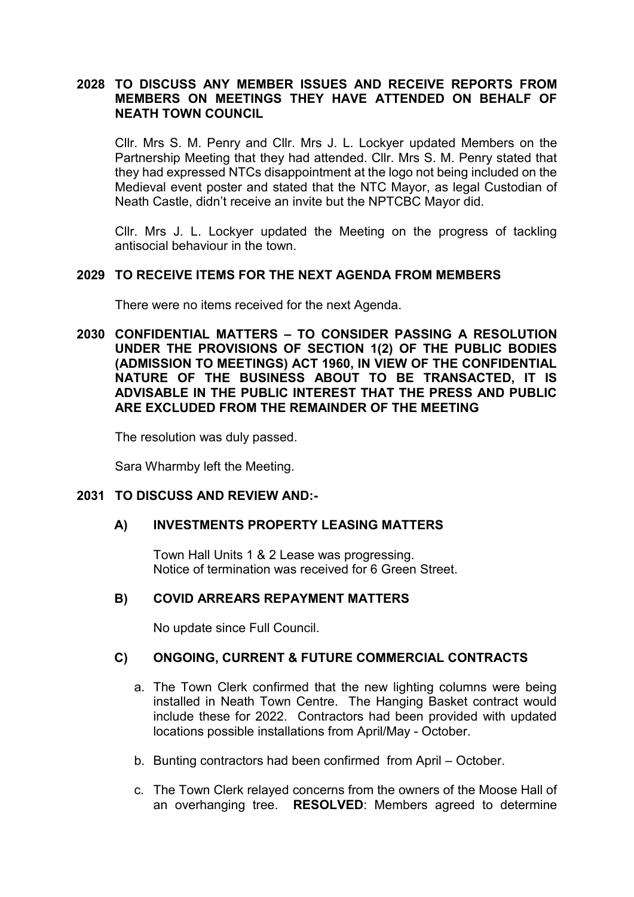## **2028 TO DISCUSS ANY MEMBER ISSUES AND RECEIVE REPORTS FROM MEMBERS ON MEETINGS THEY HAVE ATTENDED ON BEHALF OF NEATH TOWN COUNCIL**

Cllr. Mrs S. M. Penry and Cllr. Mrs J. L. Lockyer updated Members on the Partnership Meeting that they had attended. Cllr. Mrs S. M. Penry stated that they had expressed NTCs disappointment at the logo not being included on the Medieval event poster and stated that the NTC Mayor, as legal Custodian of Neath Castle, didn't receive an invite but the NPTCBC Mayor did.

Cllr. Mrs J. L. Lockyer updated the Meeting on the progress of tackling antisocial behaviour in the town.

## **2029 TO RECEIVE ITEMS FOR THE NEXT AGENDA FROM MEMBERS**

There were no items received for the next Agenda.

**2030 CONFIDENTIAL MATTERS – TO CONSIDER PASSING A RESOLUTION UNDER THE PROVISIONS OF SECTION 1(2) OF THE PUBLIC BODIES (ADMISSION TO MEETINGS) ACT 1960, IN VIEW OF THE CONFIDENTIAL NATURE OF THE BUSINESS ABOUT TO BE TRANSACTED, IT IS ADVISABLE IN THE PUBLIC INTEREST THAT THE PRESS AND PUBLIC ARE EXCLUDED FROM THE REMAINDER OF THE MEETING**

The resolution was duly passed.

Sara Wharmby left the Meeting.

### **2031 TO DISCUSS AND REVIEW AND:-**

#### **A) INVESTMENTS PROPERTY LEASING MATTERS**

Town Hall Units 1 & 2 Lease was progressing. Notice of termination was received for 6 Green Street.

#### **B) COVID ARREARS REPAYMENT MATTERS**

No update since Full Council.

#### **C) ONGOING, CURRENT & FUTURE COMMERCIAL CONTRACTS**

- a. The Town Clerk confirmed that the new lighting columns were being installed in Neath Town Centre. The Hanging Basket contract would include these for 2022. Contractors had been provided with updated locations possible installations from April/May - October.
- b. Bunting contractors had been confirmed from April October.
- c. The Town Clerk relayed concerns from the owners of the Moose Hall of an overhanging tree. **RESOLVED**: Members agreed to determine